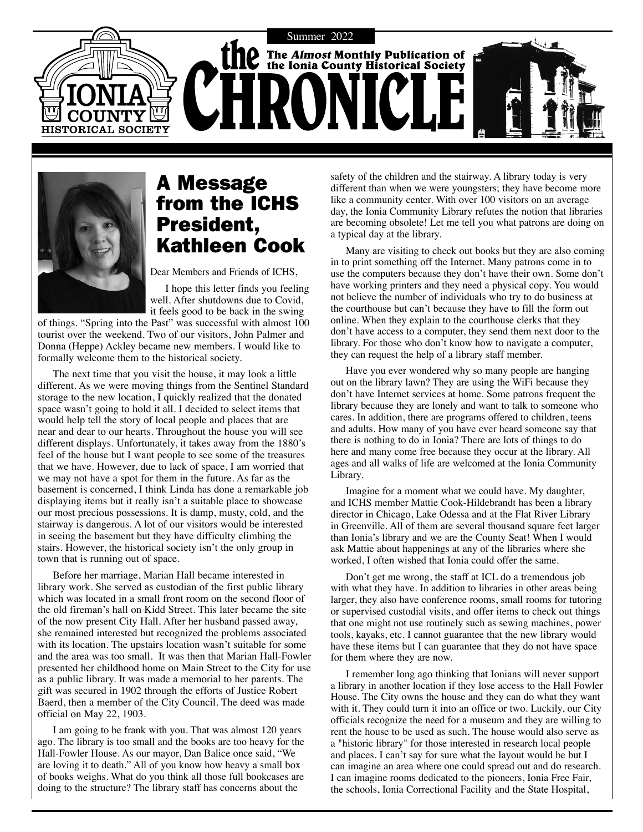



# A Message from the ICHS President, Kathleen Cook

Dear Members and Friends of ICHS,

I hope this letter finds you feeling well. After shutdowns due to Covid, it feels good to be back in the swing

of things. "Spring into the Past" was successful with almost 100 tourist over the weekend. Two of our visitors, John Palmer and Donna (Heppe) Ackley became new members. I would like to formally welcome them to the historical society.

The next time that you visit the house, it may look a little different. As we were moving things from the Sentinel Standard storage to the new location, I quickly realized that the donated space wasn't going to hold it all. I decided to select items that would help tell the story of local people and places that are near and dear to our hearts. Throughout the house you will see different displays. Unfortunately, it takes away from the 1880's feel of the house but I want people to see some of the treasures that we have. However, due to lack of space, I am worried that we may not have a spot for them in the future. As far as the basement is concerned, I think Linda has done a remarkable job displaying items but it really isn't a suitable place to showcase our most precious possessions. It is damp, musty, cold, and the stairway is dangerous. A lot of our visitors would be interested in seeing the basement but they have difficulty climbing the stairs. However, the historical society isn't the only group in town that is running out of space.

Before her marriage, Marian Hall became interested in library work. She served as custodian of the first public library which was located in a small front room on the second floor of the old fireman's hall on Kidd Street. This later became the site of the now present City Hall. After her husband passed away, she remained interested but recognized the problems associated with its location. The upstairs location wasn't suitable for some and the area was too small. It was then that Marian Hall-Fowler presented her childhood home on Main Street to the City for use as a public library. It was made a memorial to her parents. The gift was secured in 1902 through the efforts of Justice Robert Baerd, then a member of the City Council. The deed was made official on May 22, 1903.

I am going to be frank with you. That was almost 120 years ago. The library is too small and the books are too heavy for the Hall-Fowler House. As our mayor, Dan Balice once said, "We are loving it to death." All of you know how heavy a small box of books weighs. What do you think all those full bookcases are doing to the structure? The library staff has concerns about the

safety of the children and the stairway. A library today is very different than when we were youngsters; they have become more like a community center. With over 100 visitors on an average day, the Ionia Community Library refutes the notion that libraries are becoming obsolete! Let me tell you what patrons are doing on a typical day at the library.

Many are visiting to check out books but they are also coming in to print something off the Internet. Many patrons come in to use the computers because they don't have their own. Some don't have working printers and they need a physical copy. You would not believe the number of individuals who try to do business at the courthouse but can't because they have to fill the form out online. When they explain to the courthouse clerks that they don't have access to a computer, they send them next door to the library. For those who don't know how to navigate a computer, they can request the help of a library staff member.

Have you ever wondered why so many people are hanging out on the library lawn? They are using the WiFi because they don't have Internet services at home. Some patrons frequent the library because they are lonely and want to talk to someone who cares. In addition, there are programs offered to children, teens and adults. How many of you have ever heard someone say that there is nothing to do in Ionia? There are lots of things to do here and many come free because they occur at the library. All ages and all walks of life are welcomed at the Ionia Community Library.

Imagine for a moment what we could have. My daughter, and ICHS member Mattie Cook-Hildebrandt has been a library director in Chicago, Lake Odessa and at the Flat River Library in Greenville. All of them are several thousand square feet larger than Ionia's library and we are the County Seat! When I would ask Mattie about happenings at any of the libraries where she worked, I often wished that Ionia could offer the same.

Don't get me wrong, the staff at ICL do a tremendous job with what they have. In addition to libraries in other areas being larger, they also have conference rooms, small rooms for tutoring or supervised custodial visits, and offer items to check out things that one might not use routinely such as sewing machines, power tools, kayaks, etc. I cannot guarantee that the new library would have these items but I can guarantee that they do not have space for them where they are now.

I remember long ago thinking that Ionians will never support a library in another location if they lose access to the Hall Fowler House. The City owns the house and they can do what they want with it. They could turn it into an office or two. Luckily, our City officials recognize the need for a museum and they are willing to rent the house to be used as such. The house would also serve as a "historic library" for those interested in research local people and places. I can't say for sure what the layout would be but I can imagine an area where one could spread out and do research. I can imagine rooms dedicated to the pioneers, Ionia Free Fair, the schools, Ionia Correctional Facility and the State Hospital,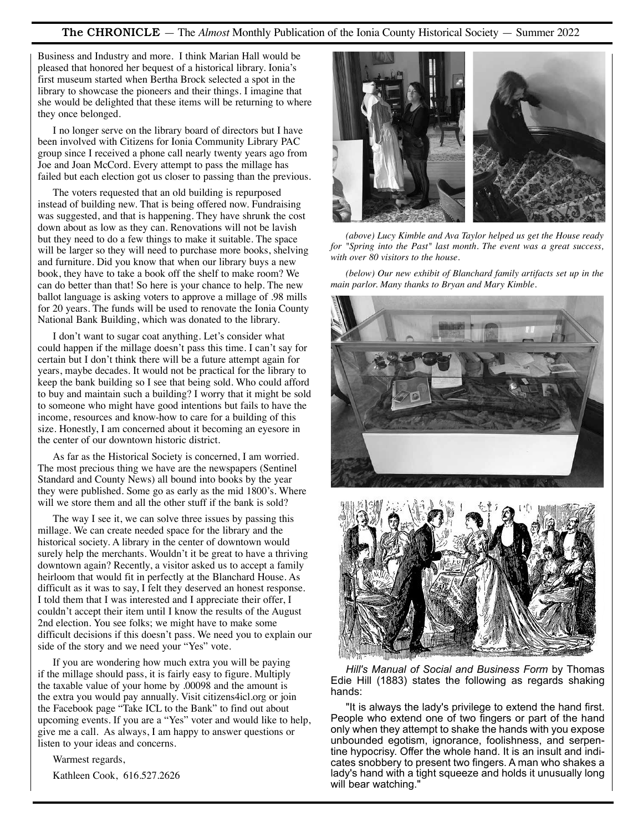#### The CHRONICLE — The *Almost* Monthly Publication of the Ionia County Historical Society — Summer 2022

Business and Industry and more. I think Marian Hall would be pleased that honored her bequest of a historical library. Ionia's first museum started when Bertha Brock selected a spot in the library to showcase the pioneers and their things. I imagine that she would be delighted that these items will be returning to where they once belonged.

I no longer serve on the library board of directors but I have been involved with Citizens for Ionia Community Library PAC group since I received a phone call nearly twenty years ago from Joe and Joan McCord. Every attempt to pass the millage has failed but each election got us closer to passing than the previous.

The voters requested that an old building is repurposed instead of building new. That is being offered now. Fundraising was suggested, and that is happening. They have shrunk the cost down about as low as they can. Renovations will not be lavish but they need to do a few things to make it suitable. The space will be larger so they will need to purchase more books, shelving and furniture. Did you know that when our library buys a new book, they have to take a book off the shelf to make room? We can do better than that! So here is your chance to help. The new ballot language is asking voters to approve a millage of .98 mills for 20 years. The funds will be used to renovate the Ionia County National Bank Building, which was donated to the library.

I don't want to sugar coat anything. Let's consider what could happen if the millage doesn't pass this time. I can't say for certain but I don't think there will be a future attempt again for years, maybe decades. It would not be practical for the library to keep the bank building so I see that being sold. Who could afford to buy and maintain such a building? I worry that it might be sold to someone who might have good intentions but fails to have the income, resources and know-how to care for a building of this size. Honestly, I am concerned about it becoming an eyesore in the center of our downtown historic district.

As far as the Historical Society is concerned, I am worried. The most precious thing we have are the newspapers (Sentinel Standard and County News) all bound into books by the year they were published. Some go as early as the mid 1800's. Where will we store them and all the other stuff if the bank is sold?

The way I see it, we can solve three issues by passing this millage. We can create needed space for the library and the historical society. A library in the center of downtown would surely help the merchants. Wouldn't it be great to have a thriving downtown again? Recently, a visitor asked us to accept a family heirloom that would fit in perfectly at the Blanchard House. As difficult as it was to say, I felt they deserved an honest response. I told them that I was interested and I appreciate their offer, I couldn't accept their item until I know the results of the August 2nd election. You see folks; we might have to make some difficult decisions if this doesn't pass. We need you to explain our side of the story and we need your "Yes" vote.

If you are wondering how much extra you will be paying if the millage should pass, it is fairly easy to figure. Multiply the taxable value of your home by .00098 and the amount is the extra you would pay annually. Visit citizens4icl.org or join the Facebook page "Take ICL to the Bank" to find out about upcoming events. If you are a "Yes" voter and would like to help, give me a call. As always, I am happy to answer questions or listen to your ideas and concerns.

Warmest regards,

Kathleen Cook, 616.527.2626



*(above) Lucy Kimble and Ava Taylor helped us get the House ready for "Spring into the Past" last month. The event was a great success, with over 80 visitors to the house.* 

*(below) Our new exhibit of Blanchard family artifacts set up in the main parlor. Many thanks to Bryan and Mary Kimble.* 





*Hill's Manual of Social and Business Form* by Thomas Edie Hill (1883) states the following as regards shaking hands:

"It is always the lady's privilege to extend the hand first. People who extend one of two fingers or part of the hand only when they attempt to shake the hands with you expose unbounded egotism, ignorance, foolishness, and serpentine hypocrisy. Offer the whole hand. It is an insult and indicates snobbery to present two fingers. A man who shakes a lady's hand with a tight squeeze and holds it unusually long will bear watching."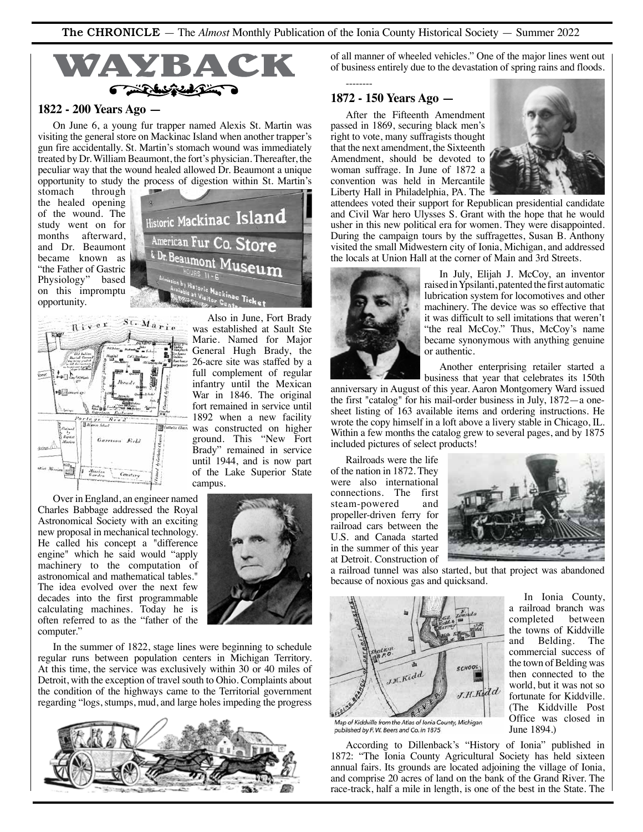

## **1822 - 200 Years Ago —**

On June 6, a young fur trapper named Alexis St. Martin was visiting the general store on Mackinac Island when another trapper's gun fire accidentally. St. Martin's stomach wound was immediately treated by Dr. William Beaumont, the fort's physician. Thereafter, the peculiar way that the wound healed allowed Dr. Beaumont a unique opportunity to study the process of digestion within St. Martin's

& Dr. Beaumont

 $_{\textrm{Historic}}$  Mackinac Island

American Fur Co. Store

stomach the healed opening of the wound. The study went on for months afterward, and Dr. Beaumont became known as "the Father of Gastric Physiology" based on this impromptu opportunity.



Over in England, an engineer named Charles Babbage addressed the Royal Astronomical Society with an exciting new proposal in mechanical technology. He called his concept a "difference engine" which he said would "apply machinery to the computation of astronomical and mathematical tables." The idea evolved over the next few decades into the first programmable calculating machines. Today he is often referred to as the "father of the computer."



Also in June, Fort Brady

In the summer of 1822, stage lines were beginning to schedule regular runs between population centers in Michigan Territory. At this time, the service was exclusively within 30 or 40 miles of Detroit, with the exception of travel south to Ohio. Complaints about the condition of the highways came to the Territorial government regarding "logs, stumps, mud, and large holes impeding the progress



of all manner of wheeled vehicles." One of the major lines went out of business entirely due to the devastation of spring rains and floods.

#### **1872 - 150 Years Ago —**

--------

After the Fifteenth Amendment passed in 1869, securing black men's right to vote, many suffragists thought that the next amendment, the Sixteenth Amendment, should be devoted to woman suffrage. In June of 1872 a convention was held in Mercantile Liberty Hall in Philadelphia, PA. The



attendees voted their support for Republican presidential candidate and Civil War hero Ulysses S. Grant with the hope that he would usher in this new political era for women. They were disappointed. During the campaign tours by the suffragettes, Susan B. Anthony visited the small Midwestern city of Ionia, Michigan, and addressed the locals at Union Hall at the corner of Main and 3rd Streets.



In July, Elijah J. McCoy, an inventor raised in Ypsilanti, patented the first automatic lubrication system for locomotives and other machinery. The device was so effective that it was difficult to sell imitations that weren't "the real McCoy." Thus, McCoy's name became synonymous with anything genuine or authentic.

Another enterprising retailer started a business that year that celebrates its 150th

anniversary in August of this year. Aaron Montgomery Ward issued the first "catalog" for his mail-order business in July, 1872—a onesheet listing of 163 available items and ordering instructions. He wrote the copy himself in a loft above a livery stable in Chicago, IL. Within a few months the catalog grew to several pages, and by 1875 included pictures of select products!

Railroads were the life of the nation in 1872. They were also international connections. The first steam-powered and propeller-driven ferry for railroad cars between the U.S. and Canada started in the summer of this year at Detroit. Construction of



a railroad tunnel was also started, but that project was abandoned because of noxious gas and quicksand.



In Ionia County, a railroad branch was completed the towns of Kiddville<br>and Belding. The Belding. The commercial success of the town of Belding was then connected to the world, but it was not so fortunate for Kiddville. (The Kiddville Post Office was closed in June 1894.)

Map of Kiddville from the Atlas of Ionia County, Michigan published by F. W. Beers and Co. in 1875

According to Dillenback's "History of Ionia" published in 1872: "The Ionia County Agricultural Society has held sixteen annual fairs. Its grounds are located adjoining the village of Ionia, and comprise 20 acres of land on the bank of the Grand River. The race-track, half a mile in length, is one of the best in the State. The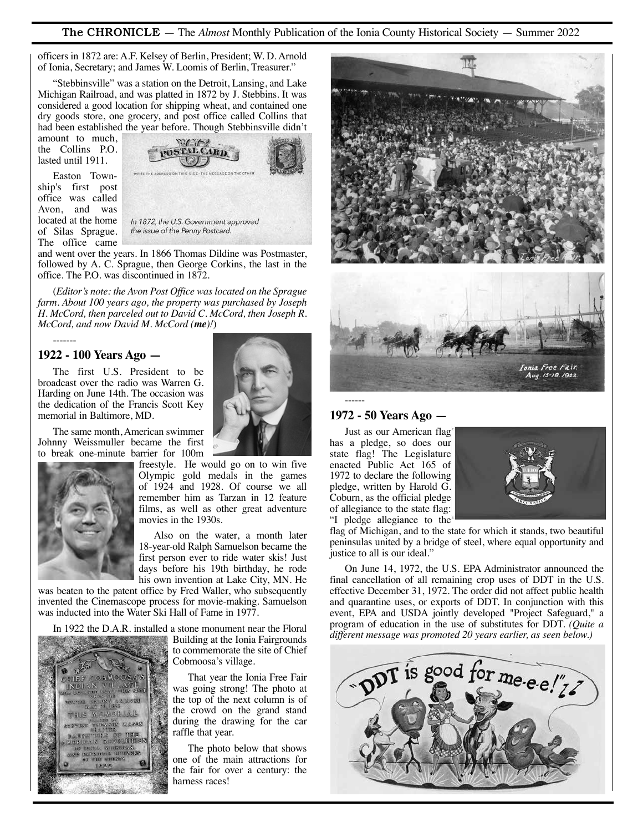The CHRONICLE — The *Almost* Monthly Publication of the Ionia County Historical Society — Summer 2022

officers in 1872 are: A.F. Kelsey of Berlin, President; W. D. Arnold of Ionia, Secretary; and James W. Loomis of Berlin, Treasurer."

"Stebbinsville" was a station on the Detroit, Lansing, and Lake Michigan Railroad, and was platted in 1872 by J. Stebbins. It was considered a good location for shipping wheat, and contained one dry goods store, one grocery, and post office called Collins that had been established the year before. Though Stebbinsville didn't

amount to much, the Collins P.O. lasted until 1911.

Easton Township's first post office was called Avon, and was located at the home of Silas Sprague. The office came



and went over the years. In 1866 Thomas Dildine was Postmaster, followed by A. C. Sprague, then George Corkins, the last in the office. The P.O. was discontinued in 1872.

(*Editor's note: the Avon Post Office was located on the Sprague farm. About 100 years ago, the property was purchased by Joseph H. McCord, then parceled out to David C. McCord, then Joseph R. McCord, and now David M. McCord (me)!*)

#### **1922 - 100 Years Ago —**

-------

The first U.S. President to be broadcast over the radio was Warren G. Harding on June 14th. The occasion was the dedication of the Francis Scott Key memorial in Baltimore, MD.

The same month, American swimmer Johnny Weissmuller became the first to break one-minute barrier for 100m



freestyle. He would go on to win five Olympic gold medals in the games of 1924 and 1928. Of course we all remember him as Tarzan in 12 feature films, as well as other great adventure movies in the 1930s.

Also on the water, a month later 18-year-old Ralph Samuelson became the first person ever to ride water skis! Just days before his 19th birthday, he rode his own invention at Lake City, MN. He

was beaten to the patent office by Fred Waller, who subsequently invented the Cinemascope process for movie-making. Samuelson was inducted into the Water Ski Hall of Fame in 1977.

In 1922 the D.A.R. installed a stone monument near the Floral



Building at the Ionia Fairgrounds to commemorate the site of Chief Cobmoosa's village.

That year the Ionia Free Fair was going strong! The photo at the top of the next column is of the crowd on the grand stand during the drawing for the car raffle that year.

The photo below that shows one of the main attractions for the fair for over a century: the harness races!



#### **1972 - 50 Years Ago —**

------

Just as our American flag has a pledge, so does our state flag! The Legislature enacted Public Act 165 of 1972 to declare the following pledge, written by Harold G. Coburn, as the official pledge of allegiance to the state flag: "I pledge allegiance to the



flag of Michigan, and to the state for which it stands, two beautiful peninsulas united by a bridge of steel, where equal opportunity and justice to all is our ideal."

On June 14, 1972, the U.S. EPA Administrator announced the final cancellation of all remaining crop uses of DDT in the U.S. effective December 31, 1972. The order did not affect public health and quarantine uses, or exports of DDT. In conjunction with this event, EPA and USDA jointly developed "Project Safeguard," a program of education in the use of substitutes for DDT. *(Quite a different message was promoted 20 years earlier, as seen below.)*

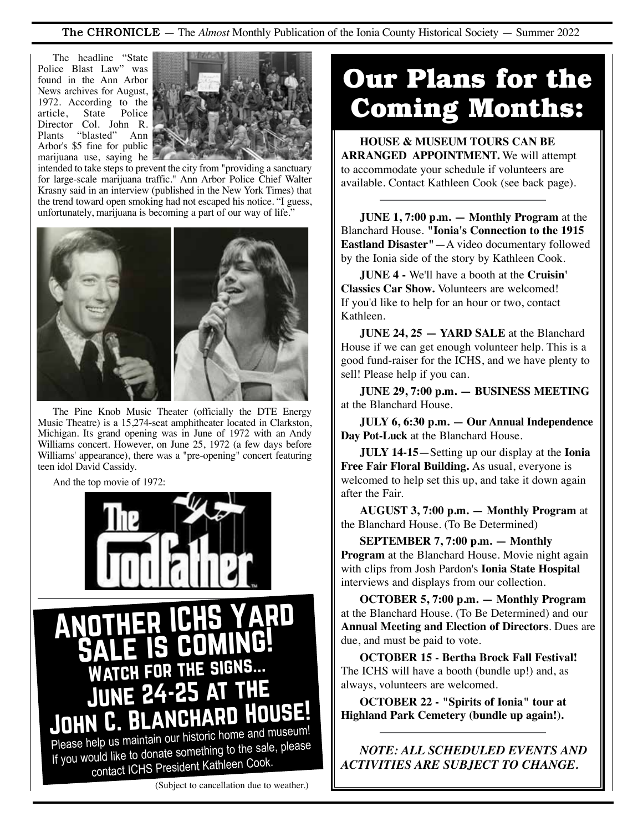### The CHRONICLE — The *Almost* Monthly Publication of the Ionia County Historical Society — Summer 2022

The headline "State Police Blast Law" was found in the Ann Arbor News archives for August, 1972. According to the article, State Police Director Col. John R. Plants "blasted" Ann Arbor's \$5 fine for public marijuana use, saying he



intended to take steps to prevent the city from "providing a sanctuary for large-scale marijuana traffic." Ann Arbor Police Chief Walter Krasny said in an interview (published in the New York Times) that the trend toward open smoking had not escaped his notice. "I guess, unfortunately, marijuana is becoming a part of our way of life.'



The Pine Knob Music Theater (officially the DTE Energy Music Theatre) is a 15,274-seat amphitheater located in Clarkston, Michigan. Its grand opening was in June of 1972 with an Andy Williams concert. However, on June 25, 1972 (a few days before Williams' appearance), there was a "pre-opening" concert featuring teen idol David Cassidy.

And the top movie of 1972:



#### (Subject to cancellation due to weather.)

# **Our Plans for the Coming Months:**

**HOUSE & MUSEUM TOURS CAN BE ARRANGED APPOINTMENT.** We will attempt to accommodate your schedule if volunteers are available. Contact Kathleen Cook (see back page).

**JUNE 1, 7:00 p.m. — Monthly Program** at the Blanchard House. **"Ionia's Connection to the 1915 Eastland Disaster"**—A video documentary followed by the Ionia side of the story by Kathleen Cook.

**JUNE 4 -** We'll have a booth at the **Cruisin' Classics Car Show.** Volunteers are welcomed! If you'd like to help for an hour or two, contact Kathleen.

**JUNE 24, 25 - YARD SALE** at the Blanchard House if we can get enough volunteer help. This is a good fund-raiser for the ICHS, and we have plenty to sell! Please help if you can.

**JUNE 29, 7:00 p.m. — BUSINESS MEETING** at the Blanchard House.

**JULY 6, 6:30 p.m. — Our Annual Independence Day Pot-Luck** at the Blanchard House.

**JULY 14-15**—Setting up our display at the **Ionia Free Fair Floral Building.** As usual, everyone is welcomed to help set this up, and take it down again after the Fair.

**AUGUST 3, 7:00 p.m. — Monthly Program** at the Blanchard House. (To Be Determined)

**SEPTEMBER 7, 7:00 p.m. — Monthly Program** at the Blanchard House. Movie night again with clips from Josh Pardon's **Ionia State Hospital**  interviews and displays from our collection.

**OCTOBER 5, 7:00 p.m. — Monthly Program** at the Blanchard House. (To Be Determined) and our **Annual Meeting and Election of Directors**. Dues are due, and must be paid to vote.

**OCTOBER 15 - Bertha Brock Fall Festival!** The ICHS will have a booth (bundle up!) and, as always, volunteers are welcomed.

**OCTOBER 22 - "Spirits of Ionia" tour at Highland Park Cemetery (bundle up again!).**

*NOTE: ALL SCHEDULED EVENTS AND ACTIVITIES ARE SUBJECT TO CHANGE.*